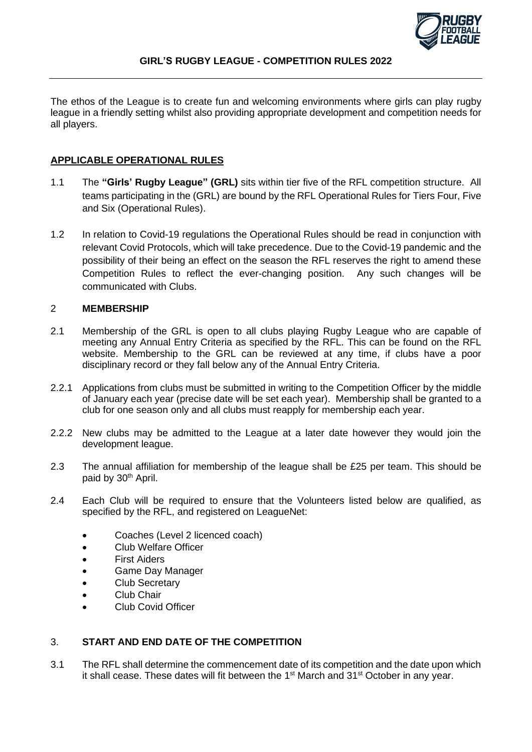

The ethos of the League is to create fun and welcoming environments where girls can play rugby league in a friendly setting whilst also providing appropriate development and competition needs for all players.

# **APPLICABLE OPERATIONAL RULES**

- 1.1 The **"Girls' Rugby League" (GRL)** sits within tier five of the RFL competition structure. All teams participating in the (GRL) are bound by the RFL Operational Rules for Tiers Four, Five and Six (Operational Rules).
- 1.2 In relation to Covid-19 regulations the Operational Rules should be read in conjunction with relevant Covid Protocols, which will take precedence. Due to the Covid-19 pandemic and the possibility of their being an effect on the season the RFL reserves the right to amend these Competition Rules to reflect the ever-changing position. Any such changes will be communicated with Clubs.

## 2 **MEMBERSHIP**

- 2.1 Membership of the GRL is open to all clubs playing Rugby League who are capable of meeting any Annual Entry Criteria as specified by the RFL. This can be found on the RFL website. Membership to the GRL can be reviewed at any time, if clubs have a poor disciplinary record or they fall below any of the Annual Entry Criteria.
- 2.2.1 Applications from clubs must be submitted in writing to the Competition Officer by the middle of January each year (precise date will be set each year). Membership shall be granted to a club for one season only and all clubs must reapply for membership each year.
- 2.2.2 New clubs may be admitted to the League at a later date however they would join the development league.
- 2.3 The annual affiliation for membership of the league shall be £25 per team. This should be paid by 30<sup>th</sup> April.
- 2.4 Each Club will be required to ensure that the Volunteers listed below are qualified, as specified by the RFL, and registered on LeagueNet:
	- Coaches (Level 2 licenced coach)
	- Club Welfare Officer
	- First Aiders
	- Game Day Manager
	- Club Secretary
	- Club Chair
	- Club Covid Officer

# 3. **START AND END DATE OF THE COMPETITION**

3.1 The RFL shall determine the commencement date of its competition and the date upon which it shall cease. These dates will fit between the 1<sup>st</sup> March and 31<sup>st</sup> October in any year.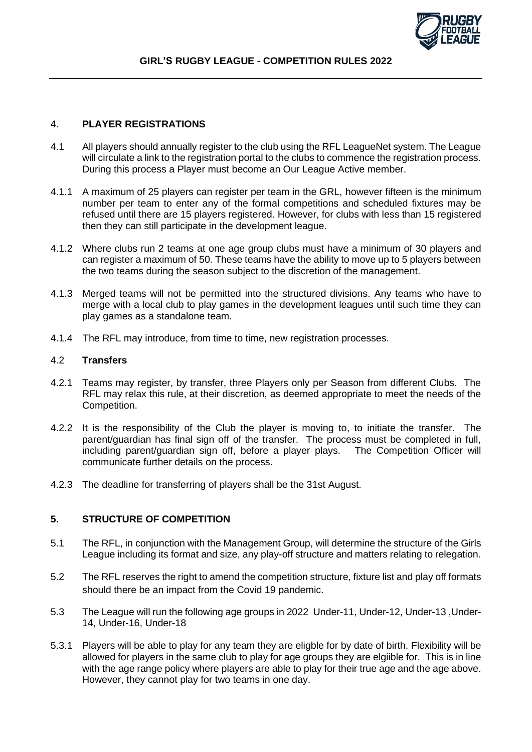

### 4. **PLAYER REGISTRATIONS**

- 4.1 All players should annually register to the club using the RFL LeagueNet system. The League will circulate a link to the registration portal to the clubs to commence the registration process. During this process a Player must become an Our League Active member.
- 4.1.1 A maximum of 25 players can register per team in the GRL, however fifteen is the minimum number per team to enter any of the formal competitions and scheduled fixtures may be refused until there are 15 players registered. However, for clubs with less than 15 registered then they can still participate in the development league.
- 4.1.2 Where clubs run 2 teams at one age group clubs must have a minimum of 30 players and can register a maximum of 50. These teams have the ability to move up to 5 players between the two teams during the season subject to the discretion of the management.
- 4.1.3 Merged teams will not be permitted into the structured divisions. Any teams who have to merge with a local club to play games in the development leagues until such time they can play games as a standalone team.
- 4.1.4 The RFL may introduce, from time to time, new registration processes.

### 4.2 **Transfers**

- 4.2.1 Teams may register, by transfer, three Players only per Season from different Clubs. The RFL may relax this rule, at their discretion, as deemed appropriate to meet the needs of the Competition.
- 4.2.2 It is the responsibility of the Club the player is moving to, to initiate the transfer. The parent/guardian has final sign off of the transfer. The process must be completed in full, including parent/guardian sign off, before a player plays. The Competition Officer will communicate further details on the process.
- 4.2.3 The deadline for transferring of players shall be the 31st August.

## **5. STRUCTURE OF COMPETITION**

- 5.1 The RFL, in conjunction with the Management Group, will determine the structure of the Girls League including its format and size, any play-off structure and matters relating to relegation.
- 5.2 The RFL reserves the right to amend the competition structure, fixture list and play off formats should there be an impact from the Covid 19 pandemic.
- 5.3 The League will run the following age groups in 2022 Under-11, Under-12, Under-13 ,Under-14, Under-16, Under-18
- 5.3.1 Players will be able to play for any team they are eligble for by date of birth. Flexibility will be allowed for players in the same club to play for age groups they are elgiible for. This is in line with the age range policy where players are able to play for their true age and the age above. However, they cannot play for two teams in one day.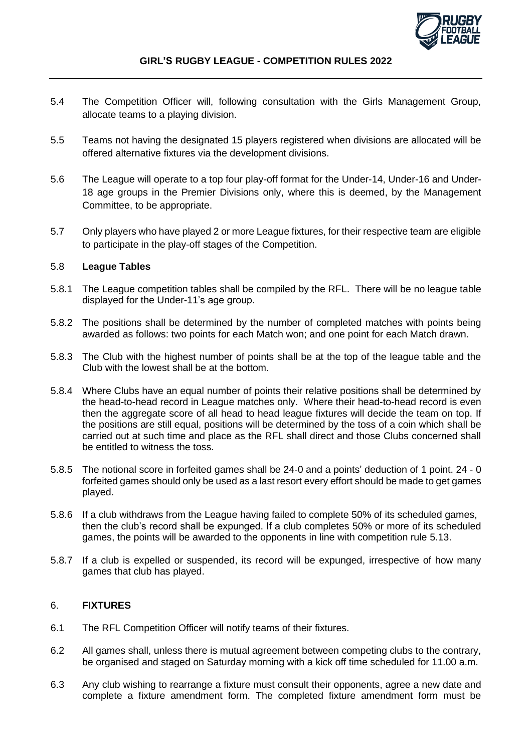

- 5.4 The Competition Officer will, following consultation with the Girls Management Group, allocate teams to a playing division.
- 5.5 Teams not having the designated 15 players registered when divisions are allocated will be offered alternative fixtures via the development divisions.
- 5.6 The League will operate to a top four play-off format for the Under-14, Under-16 and Under-18 age groups in the Premier Divisions only, where this is deemed, by the Management Committee, to be appropriate.
- 5.7 Only players who have played 2 or more League fixtures, for their respective team are eligible to participate in the play-off stages of the Competition.

#### 5.8 **League Tables**

- 5.8.1 The League competition tables shall be compiled by the RFL. There will be no league table displayed for the Under-11's age group.
- 5.8.2 The positions shall be determined by the number of completed matches with points being awarded as follows: two points for each Match won; and one point for each Match drawn.
- 5.8.3 The Club with the highest number of points shall be at the top of the league table and the Club with the lowest shall be at the bottom.
- 5.8.4 Where Clubs have an equal number of points their relative positions shall be determined by the head-to-head record in League matches only. Where their head-to-head record is even then the aggregate score of all head to head league fixtures will decide the team on top. If the positions are still equal, positions will be determined by the toss of a coin which shall be carried out at such time and place as the RFL shall direct and those Clubs concerned shall be entitled to witness the toss.
- 5.8.5 The notional score in forfeited games shall be 24-0 and a points' deduction of 1 point. 24 0 forfeited games should only be used as a last resort every effort should be made to get games played.
- 5.8.6 If a club withdraws from the League having failed to complete 50% of its scheduled games, then the club's record shall be expunged. If a club completes 50% or more of its scheduled games, the points will be awarded to the opponents in line with competition rule 5.13.
- 5.8.7 If a club is expelled or suspended, its record will be expunged, irrespective of how many games that club has played.

# 6. **FIXTURES**

- 6.1 The RFL Competition Officer will notify teams of their fixtures.
- 6.2 All games shall, unless there is mutual agreement between competing clubs to the contrary, be organised and staged on Saturday morning with a kick off time scheduled for 11.00 a.m.
- 6.3 Any club wishing to rearrange a fixture must consult their opponents, agree a new date and complete a fixture amendment form. The completed fixture amendment form must be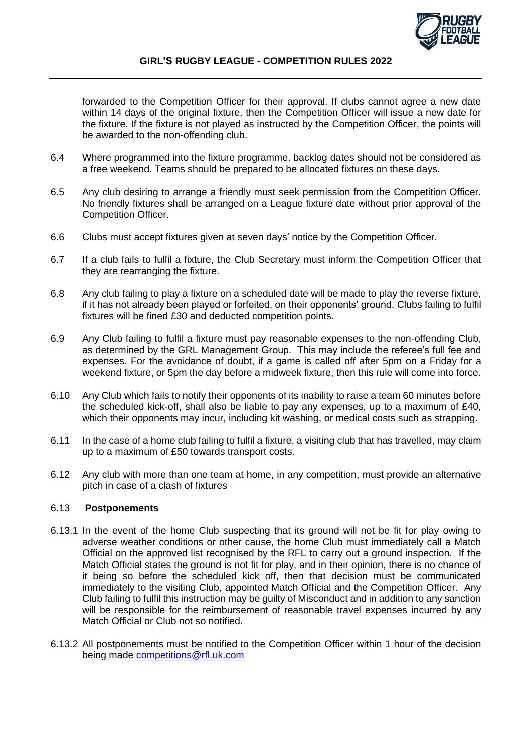

### **GIRL'S RUGBY LEAGUE - COMPETITION RULES 2022**

forwarded to the Competition Officer for their approval. If clubs cannot agree a new date within 14 days of the original fixture, then the Competition Officer will issue a new date for the fixture. If the fixture is not played as instructed by the Competition Officer, the points will be awarded to the non-offending club.

- 6.4 Where programmed into the fixture programme, backlog dates should not be considered as a free weekend. Teams should be prepared to be allocated fixtures on these days.
- 6.5 Any club desiring to arrange a friendly must seek permission from the Competition Officer. No friendly fixtures shall be arranged on a League fixture date without prior approval of the Competition Officer.
- 6.6 Clubs must accept fixtures given at seven days' notice by the Competition Officer.
- 6.7 If a club fails to fulfil a fixture, the Club Secretary must inform the Competition Officer that they are rearranging the fixture.
- 6.8 Any club failing to play a fixture on a scheduled date will be made to play the reverse fixture, if it has not already been played or forfeited, on their opponents' ground. Clubs failing to fulfil fixtures will be fined £30 and deducted competition points.
- 6.9 Any Club failing to fulfil a fixture must pay reasonable expenses to the non-offending Club, as determined by the GRL Management Group. This may include the referee's full fee and expenses. For the avoidance of doubt, if a game is called off after 5pm on a Friday for a weekend fixture, or 5pm the day before a midweek fixture, then this rule will come into force.
- 6.10 Any Club which fails to notify their opponents of its inability to raise a team 60 minutes before the scheduled kick-off, shall also be liable to pay any expenses, up to a maximum of £40, which their opponents may incur, including kit washing, or medical costs such as strapping.
- 6.11 In the case of a home club failing to fulfil a fixture, a visiting club that has travelled, may claim up to a maximum of £50 towards transport costs.
- 6.12 Any club with more than one team at home, in any competition, must provide an alternative pitch in case of a clash of fixtures

#### 6.13 **Postponements**

- 6.13.1 In the event of the home Club suspecting that its ground will not be fit for play owing to adverse weather conditions or other cause, the home Club must immediately call a Match Official on the approved list recognised by the RFL to carry out a ground inspection. If the Match Official states the ground is not fit for play, and in their opinion, there is no chance of it being so before the scheduled kick off, then that decision must be communicated immediately to the visiting Club, appointed Match Official and the Competition Officer. Any Club failing to fulfil this instruction may be guilty of Misconduct and in addition to any sanction will be responsible for the reimbursement of reasonable travel expenses incurred by any Match Official or Club not so notified.
- 6.13.2 All postponements must be notified to the Competition Officer within 1 hour of the decision being made [competitions@rfl.uk.com](mailto:competitions@rfl.uk.com)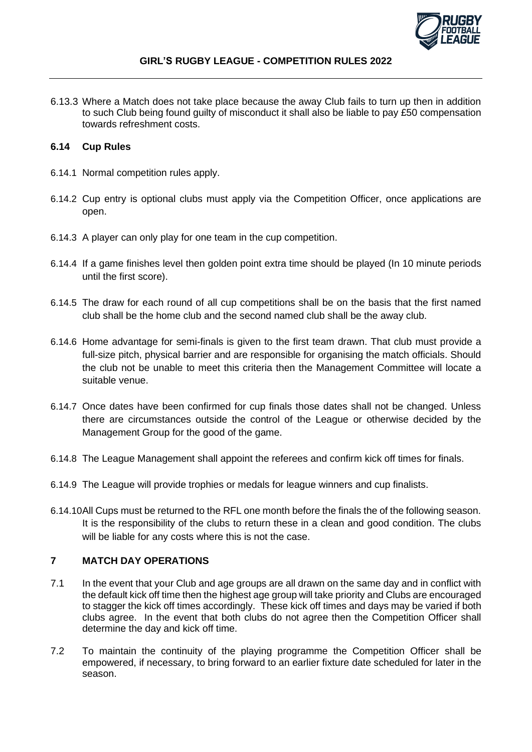

6.13.3 Where a Match does not take place because the away Club fails to turn up then in addition to such Club being found guilty of misconduct it shall also be liable to pay £50 compensation towards refreshment costs.

#### **6.14 Cup Rules**

- 6.14.1 Normal competition rules apply.
- 6.14.2 Cup entry is optional clubs must apply via the Competition Officer, once applications are open.
- 6.14.3 A player can only play for one team in the cup competition.
- 6.14.4 If a game finishes level then golden point extra time should be played (In 10 minute periods until the first score).
- 6.14.5 The draw for each round of all cup competitions shall be on the basis that the first named club shall be the home club and the second named club shall be the away club.
- 6.14.6 Home advantage for semi-finals is given to the first team drawn. That club must provide a full-size pitch, physical barrier and are responsible for organising the match officials. Should the club not be unable to meet this criteria then the Management Committee will locate a suitable venue.
- 6.14.7 Once dates have been confirmed for cup finals those dates shall not be changed. Unless there are circumstances outside the control of the League or otherwise decided by the Management Group for the good of the game.
- 6.14.8 The League Management shall appoint the referees and confirm kick off times for finals.
- 6.14.9 The League will provide trophies or medals for league winners and cup finalists.
- 6.14.10All Cups must be returned to the RFL one month before the finals the of the following season. It is the responsibility of the clubs to return these in a clean and good condition. The clubs will be liable for any costs where this is not the case.

## **7 MATCH DAY OPERATIONS**

- 7.1 In the event that your Club and age groups are all drawn on the same day and in conflict with the default kick off time then the highest age group will take priority and Clubs are encouraged to stagger the kick off times accordingly. These kick off times and days may be varied if both clubs agree. In the event that both clubs do not agree then the Competition Officer shall determine the day and kick off time.
- 7.2 To maintain the continuity of the playing programme the Competition Officer shall be empowered, if necessary, to bring forward to an earlier fixture date scheduled for later in the season.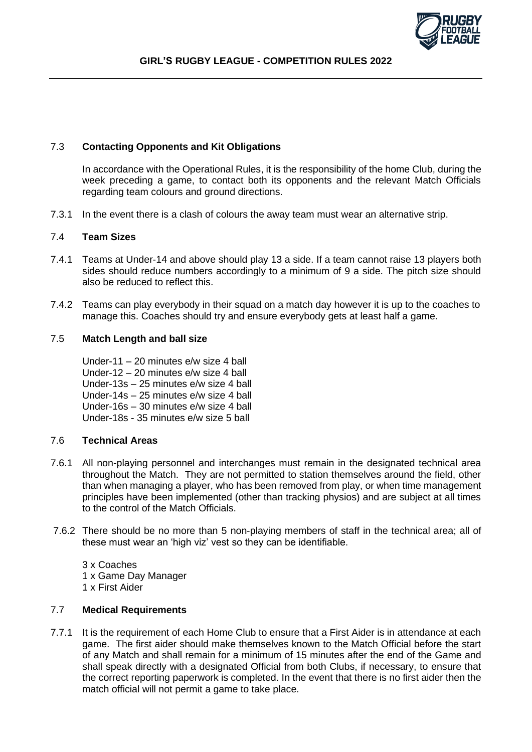

# 7.3 **Contacting Opponents and Kit Obligations**

In accordance with the Operational Rules, it is the responsibility of the home Club, during the week preceding a game, to contact both its opponents and the relevant Match Officials regarding team colours and ground directions.

7.3.1 In the event there is a clash of colours the away team must wear an alternative strip.

## 7.4 **Team Sizes**

- 7.4.1 Teams at Under-14 and above should play 13 a side. If a team cannot raise 13 players both sides should reduce numbers accordingly to a minimum of 9 a side. The pitch size should also be reduced to reflect this.
- 7.4.2 Teams can play everybody in their squad on a match day however it is up to the coaches to manage this. Coaches should try and ensure everybody gets at least half a game.

## 7.5 **Match Length and ball size**

Under-11 – 20 minutes e/w size 4 ball Under-12 – 20 minutes e/w size 4 ball Under-13s – 25 minutes e/w size 4 ball Under-14s – 25 minutes e/w size 4 ball Under-16s – 30 minutes e/w size 4 ball Under-18s - 35 minutes e/w size 5 ball

## 7.6 **Technical Areas**

- 7.6.1 All non-playing personnel and interchanges must remain in the designated technical area throughout the Match. They are not permitted to station themselves around the field, other than when managing a player, who has been removed from play, or when time management principles have been implemented (other than tracking physios) and are subject at all times to the control of the Match Officials.
- 7.6.2 There should be no more than 5 non-playing members of staff in the technical area; all of these must wear an 'high viz' vest so they can be identifiable.
	- 3 x Coaches 1 x Game Day Manager 1 x First Aider

## 7.7 **Medical Requirements**

7.7.1 It is the requirement of each Home Club to ensure that a First Aider is in attendance at each game. The first aider should make themselves known to the Match Official before the start of any Match and shall remain for a minimum of 15 minutes after the end of the Game and shall speak directly with a designated Official from both Clubs, if necessary, to ensure that the correct reporting paperwork is completed. In the event that there is no first aider then the match official will not permit a game to take place.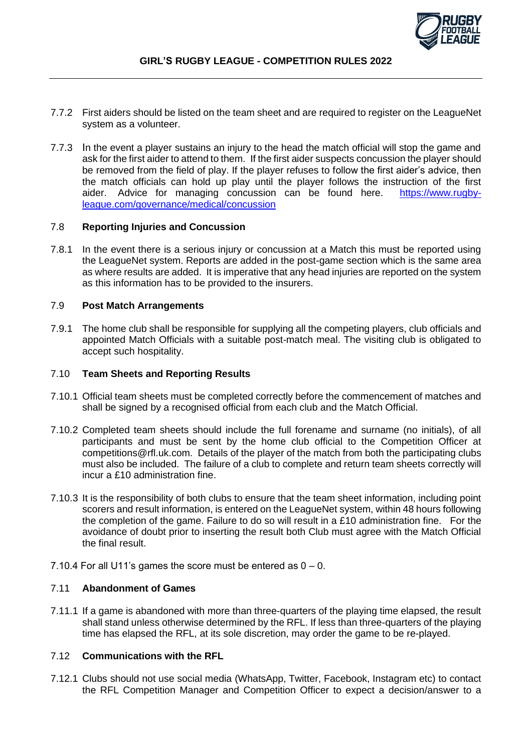

- 7.7.2 First aiders should be listed on the team sheet and are required to register on the LeagueNet system as a volunteer.
- 7.7.3 In the event a player sustains an injury to the head the match official will stop the game and ask for the first aider to attend to them. If the first aider suspects concussion the player should be removed from the field of play. If the player refuses to follow the first aider's advice, then the match officials can hold up play until the player follows the instruction of the first aider. Advice for managing concussion can be found here. [https://www.rugby](https://www.rugby-league.com/governance/medical/concussion)[league.com/governance/medical/concussion](https://www.rugby-league.com/governance/medical/concussion)

#### 7.8 **Reporting Injuries and Concussion**

7.8.1 In the event there is a serious injury or concussion at a Match this must be reported using the LeagueNet system. Reports are added in the post-game section which is the same area as where results are added. It is imperative that any head injuries are reported on the system as this information has to be provided to the insurers.

#### 7.9 **Post Match Arrangements**

7.9.1 The home club shall be responsible for supplying all the competing players, club officials and appointed Match Officials with a suitable post-match meal. The visiting club is obligated to accept such hospitality.

### 7.10 **Team Sheets and Reporting Results**

- 7.10.1 Official team sheets must be completed correctly before the commencement of matches and shall be signed by a recognised official from each club and the Match Official.
- 7.10.2 Completed team sheets should include the full forename and surname (no initials), of all participants and must be sent by the home club official to the Competition Officer at competitions@rfl.uk.com. Details of the player of the match from both the participating clubs must also be included. The failure of a club to complete and return team sheets correctly will incur a £10 administration fine.
- 7.10.3 It is the responsibility of both clubs to ensure that the team sheet information, including point scorers and result information, is entered on the LeagueNet system, within 48 hours following the completion of the game. Failure to do so will result in a £10 administration fine. For the avoidance of doubt prior to inserting the result both Club must agree with the Match Official the final result.
- 7.10.4 For all U11's games the score must be entered as  $0 0$ .

## 7.11 **Abandonment of Games**

7.11.1 If a game is abandoned with more than three-quarters of the playing time elapsed, the result shall stand unless otherwise determined by the RFL. If less than three-quarters of the playing time has elapsed the RFL, at its sole discretion, may order the game to be re-played.

## 7.12 **Communications with the RFL**

7.12.1 Clubs should not use social media (WhatsApp, Twitter, Facebook, Instagram etc) to contact the RFL Competition Manager and Competition Officer to expect a decision/answer to a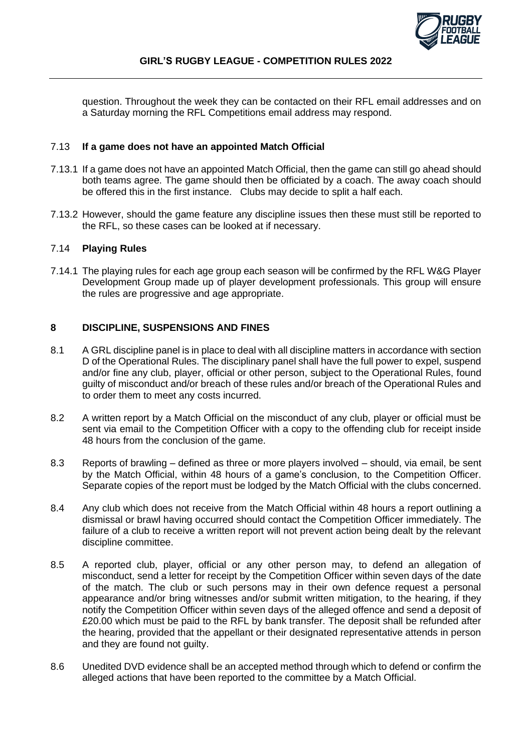

question. Throughout the week they can be contacted on their RFL email addresses and on a Saturday morning the RFL Competitions email address may respond.

#### 7.13 **If a game does not have an appointed Match Official**

- 7.13.1 If a game does not have an appointed Match Official, then the game can still go ahead should both teams agree. The game should then be officiated by a coach. The away coach should be offered this in the first instance. Clubs may decide to split a half each.
- 7.13.2 However, should the game feature any discipline issues then these must still be reported to the RFL, so these cases can be looked at if necessary.

#### 7.14 **Playing Rules**

7.14.1 The playing rules for each age group each season will be confirmed by the RFL W&G Player Development Group made up of player development professionals. This group will ensure the rules are progressive and age appropriate.

## **8 DISCIPLINE, SUSPENSIONS AND FINES**

- 8.1 A GRL discipline panel is in place to deal with all discipline matters in accordance with section D of the Operational Rules. The disciplinary panel shall have the full power to expel, suspend and/or fine any club, player, official or other person, subject to the Operational Rules, found guilty of misconduct and/or breach of these rules and/or breach of the Operational Rules and to order them to meet any costs incurred.
- 8.2 A written report by a Match Official on the misconduct of any club, player or official must be sent via email to the Competition Officer with a copy to the offending club for receipt inside 48 hours from the conclusion of the game.
- 8.3 Reports of brawling defined as three or more players involved should, via email, be sent by the Match Official, within 48 hours of a game's conclusion, to the Competition Officer. Separate copies of the report must be lodged by the Match Official with the clubs concerned.
- 8.4 Any club which does not receive from the Match Official within 48 hours a report outlining a dismissal or brawl having occurred should contact the Competition Officer immediately. The failure of a club to receive a written report will not prevent action being dealt by the relevant discipline committee.
- 8.5 A reported club, player, official or any other person may, to defend an allegation of misconduct, send a letter for receipt by the Competition Officer within seven days of the date of the match. The club or such persons may in their own defence request a personal appearance and/or bring witnesses and/or submit written mitigation, to the hearing, if they notify the Competition Officer within seven days of the alleged offence and send a deposit of £20.00 which must be paid to the RFL by bank transfer. The deposit shall be refunded after the hearing, provided that the appellant or their designated representative attends in person and they are found not guilty.
- 8.6 Unedited DVD evidence shall be an accepted method through which to defend or confirm the alleged actions that have been reported to the committee by a Match Official.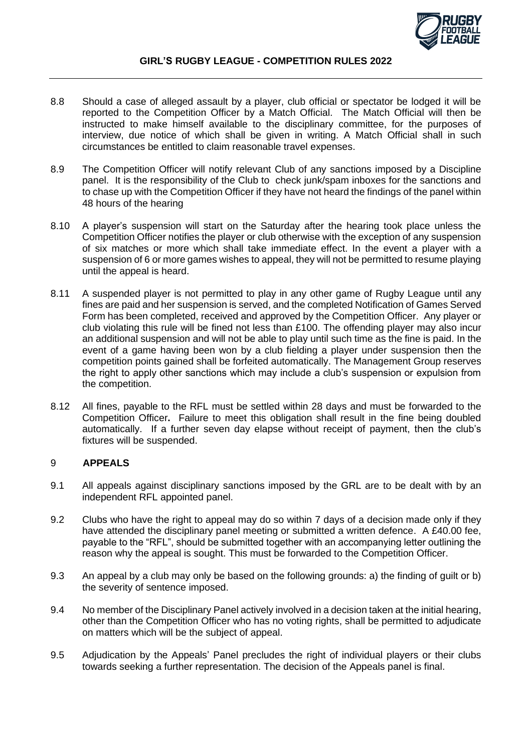

#### **GIRL'S RUGBY LEAGUE - COMPETITION RULES 2022**

- 8.8 Should a case of alleged assault by a player, club official or spectator be lodged it will be reported to the Competition Officer by a Match Official. The Match Official will then be instructed to make himself available to the disciplinary committee, for the purposes of interview, due notice of which shall be given in writing. A Match Official shall in such circumstances be entitled to claim reasonable travel expenses.
- 8.9 The Competition Officer will notify relevant Club of any sanctions imposed by a Discipline panel. It is the responsibility of the Club to check junk/spam inboxes for the sanctions and to chase up with the Competition Officer if they have not heard the findings of the panel within 48 hours of the hearing
- 8.10 A player's suspension will start on the Saturday after the hearing took place unless the Competition Officer notifies the player or club otherwise with the exception of any suspension of six matches or more which shall take immediate effect. In the event a player with a suspension of 6 or more games wishes to appeal, they will not be permitted to resume playing until the appeal is heard.
- 8.11 A suspended player is not permitted to play in any other game of Rugby League until any fines are paid and her suspension is served, and the completed Notification of Games Served Form has been completed, received and approved by the Competition Officer. Any player or club violating this rule will be fined not less than £100. The offending player may also incur an additional suspension and will not be able to play until such time as the fine is paid. In the event of a game having been won by a club fielding a player under suspension then the competition points gained shall be forfeited automatically. The Management Group reserves the right to apply other sanctions which may include a club's suspension or expulsion from the competition.
- 8.12 All fines, payable to the RFL must be settled within 28 days and must be forwarded to the Competition Officer**.** Failure to meet this obligation shall result in the fine being doubled automatically. If a further seven day elapse without receipt of payment, then the club's fixtures will be suspended.

## 9 **APPEALS**

- 9.1 All appeals against disciplinary sanctions imposed by the GRL are to be dealt with by an independent RFL appointed panel.
- 9.2 Clubs who have the right to appeal may do so within 7 days of a decision made only if they have attended the disciplinary panel meeting or submitted a written defence. A £40.00 fee, payable to the "RFL", should be submitted together with an accompanying letter outlining the reason why the appeal is sought. This must be forwarded to the Competition Officer.
- 9.3 An appeal by a club may only be based on the following grounds: a) the finding of guilt or b) the severity of sentence imposed.
- 9.4 No member of the Disciplinary Panel actively involved in a decision taken at the initial hearing, other than the Competition Officer who has no voting rights, shall be permitted to adjudicate on matters which will be the subject of appeal.
- 9.5 Adjudication by the Appeals' Panel precludes the right of individual players or their clubs towards seeking a further representation. The decision of the Appeals panel is final.